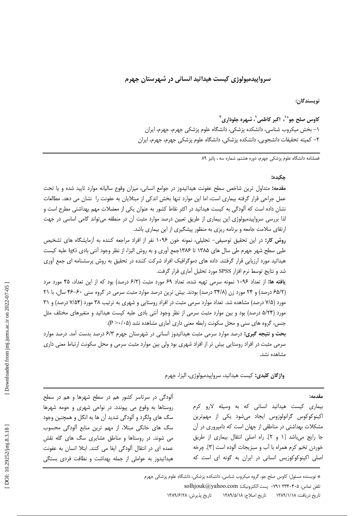# سرواييدميولوژي کيست هيداتيد انساني در شهرستان جهرم

نويسندگان:

کاوس صلح جو®`، اکبر کاظمی`، شہرہ جلوداری<sup>۲</sup> ۱– بخش میکروب شناسی، دانشکده پزشکی، دانشگاه علوم پزشکی جهرم، جهرم، ایران ٢– كميته تحقيقات دانشجويي، دانشكده پزشكي، دانشگاه علوم پزشكي جهرم، جهرم، ايران

فصلنامه دانشگاه علوم یزشکی جهرم، دوره هشتم، شماره سه ، پائیز ۸۹

#### چکیده:

مقدمه: متداول ترين شاخص سطح عفونت هيداتيدوز در جوامع انساني، ميزان وقوع ساليانه موارد تاييد شده و يا تحت عمل جراحی قرار گرفته بیماری است، اما این موارد تنها بخش اندکی از مبتلایان به عفونت را نشان می دهد. مطالعات نشان داده است که آلودگی به کیست هیداتید در اکثر نقاط کشور به عنوان یکی از معضلات مهم بهداشتی مطرح است و لذا بررسی سرواپیدمیولوژی این بیماری از طریق تعیین درصد موارد مثبت آن در منطقه می تواند گامی اساسی در جهت ارتقای سلامت جامعه و برنامه ریزی به منظور پیشگیری از این بیماری باشد.

روش کار: در این تحقیق توصیفی- تحلیلی، نمونه خون ۱۰۹۶ نفر از افراد مراجعه کننده به آزمایشگاه های تشخیص طبی سطح شهر جهرم طی سال های ۱۳۸۵ تا ۱۳۸۶جمع آوری و به روش الیزا، از نظر وجود آنتی بادی IgG علیه کیست هیداتید مورد ارزیابی قرار گرفتند. داده های دموگرافیک افراد شرکت کننده در تحقیق به روش پرسشنامه ای جمع آوری شد و نتايج توسط نرم افزار SPSS مورد تحليل آماري قرار گرفت.

یافته ها: از تعداد ۱۰۹۶ نمونه سرمی تهیه شده، تعداد ۶۹ مورد مثبت (۶/۳ درصد) بود که از این تعداد، ۴۵ مورد مرد (۶۵/۲ درصد) و ۲۴ مورد زن (۳۴/۸ درصد) بودند. بیش ترین درصد موارد مثبت سرمی در گروه سنی ۶۰-۴۶ سال، با ۲۱ مورد (۷/۵ درصد) مشاهده شد. تعداد موارد سرمی مثبت در افراد روستایی و شهری به ترتیب ۳۸ مورد (۷/۵۴ درصد) و ۳۱ مورد (۵/۲۴ درصد) بود و بین موارد مثبت سرمی از نظر وجود أنتی بادی علیه کیست هیداتید و متغیرهای مختلف مثل جنس، گروه های سنی و محل سکونت رابطه معنی داری آماری مشاهده نشد (P>٠/٠۵).

بحث و نتیجه گیری: درصد موارد سرمی مثبت هیداتیدوز انسانی در شهرستان جهرم ۶/۳ درصد بدست آمد. درصد موارد سرمی مثبت در افراد روستایی بیش تر از افراد شهری بود ولی بین موارد مثبت سرمی و محل سکونت ارتباط معنی داری مشاهده نشد.

واژگان کلیدی: کیست هیداتید، سرواپیدمیولوژی، الیزا، جهرم

مقدمه:

بیماری کیست هیداتید انسانی که به وسیله لارو کرم اکینوکوکوس گرانولوزوس ایجاد میشود یکی از مهمترین مشکلات بهداشتی در مناطقی از جهان است که دامپروری در آن جا رايج مي باشد [١ و ٢]. راه اصلي انتقال بيماري از طريق خوردن تخم کرم همراه با آب و سبزیجات آلوده است [۳]. چرخه اصلی اکینوکوکوزیس انسانی در ایران به گونه ای است که

آلودگی در سرتاسر کشور هم در سطح شهرها و هم در سطح روستاها به وقوع می پیوندد. در نواحی شهری و حومه شهرها سگ های ولگرد و آلودگی شدید آن ها به انگل و همچنین وجود سگ های خانگی مبتلا، از مهم ترین منابع آلودگی محسوب می شوند. در روستاها و مناطق عشایری سگ های گله نقش عمده ای در انتقال آلودگی ایفا می کنند. ابتلا انسان به عفونت هیداتیدوز به عواملی از جمله بهداشت و نظافت فردی بستگی

> \* نویسنده مسئول: کاوس صلح جو، گروه میکروب شناسی، دانشکده پزشکی، دانشگاه علوم پزشکی جهرم  $\text{solhjouk}(\mathcal{Q}$ yahoo.com . يست الكترونيك:  $\cdot$ er۴۰۴۰۵ تلفن تماس:

تاريخ پذيرش: ١٣٨٩/۶/٢٨ تاريخ دريافت: ١٣٨٩/١/١٨ تاريخ اصلاح: ١٣٨٩/٥/١٨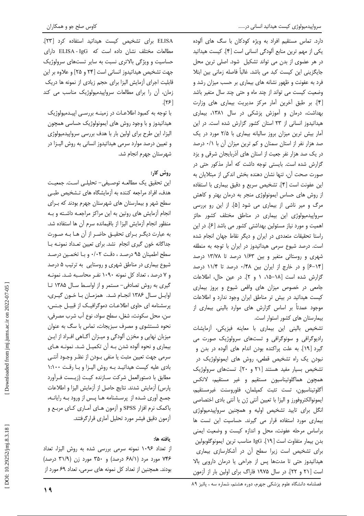سرواپیدمیولوژی کیست هیداتید انسانی در......

دارد. تماس مستقیم افراد به ویژه کودکان با سگ های آلوده یکی از مهم ترین منابع آلودگی انسانی است [۴]. کیست هیداتید در هر عضوى از بدن مى تواند تشكيل شود. اصلى ترين محل جایگزینی این کیست کبد می باشد. غالباً فاصله زمانی بین ابتلا فرد به عفونت و ظهور نشانه های بیماری بر حسب میزان رشد و وضعیت کیست می تواند از چند ماه و حتی چند سال متغیر باشد [۴]. بر طبق آخرین آمار مرکز مدیریت بیماری های وزارت بهداشت، درمان و آموزش پزشکی در سال ۱۳۸۱، بیماری هیداتیدوز انسانی از ۲۳ استان کشور گزارش شده است. در این آمار بیش ترین میزان بروز سالیانه بیماری با ۲/۵ مورد در یک صد هزار نفر از استان سمنان و کم ترین میزان آن با ۰/۱ درصد در یک صد هزار نفر جعیت از استان های آذربایجان شرقی و یزد گزارش شده است. بایستی توجه داشت که آمار مذکور حتی در صورت صحت آن، تنها نشان دهنده بخش اندکی از مبتلایان به این عفونت است [۴]. تشخیص سریع و دقیق بیماری با استفاده از روش های حساس ایمونولوژی منجر به درمان بهتر و کاهش مرگ و میر ناشی از بیماری می شود [۵]. از این رو بررسی سرواپیدمیولوژی این بیماری در مناطق مختلف کشور حائز اهمیت و مورد نیاز مسئولین بهداشتی کشور می باشد [۶]. در این راستا تحقیقات متعددی در ایران و دیگر نقاط جهان انجام شده است. درصد شیوع سرمی هیداتیدوز در ایران با توجه به منطقه شهری و روستائی متغیر و بین ۱/۶۳ درصد تا ۱۳/۷۸ درصد [۱۴-۶] و در خارج از ایران بین ۰/۴۸ درصد تا ۱۱/۴ درصد گزارش شده است [۱۸-۱۵، ۱ و ۲]. در عین حال، اطلاعات جامعی در خصوص میزان های واقعی شیوع و بروز بیماری کیست هیداتید در بیش تر مناطق ایران وجود ندارد و اطلاعات موجود عمدتاً بر اساس گزارش های موارد بالینی بیماری از بیمارستان های کشور استوار است.

تشخیص بالینی این بیماری با معاینه فیزیکی، آزمایشات رادیوگرافی و سونوگرافی و تستهای سرولوژیک صورت می گیرد [۱۹]. به علت پراکنده بودن اندام های آلوده در بدن و نبودن یک راه تشخیص قطعی، روش های ایمونولوژیک در تشخيص بسيار مفيد هستند [٢١ و ٢٠]. تستهاى سرولوژيک همچون هماگلوتيناسيون مستقيم و غير مستقيم، لاتكس أگلوتيناسيون، تست تثبت كمپلمان، فلوروسنت غيرمستقيم، ايمونوالكتروفورز و اليزا با تعيين أنتي ژن يا أنتي بادي اختصاصي انگل برای تایید تشخیص اولیه و همچنین سرواپیدمیولوژی بیماری مورد استفاده قرار می گیرند. حساسیت این تست ها براساس مرحله عفونت، محل و اندازه کیست و وضعیت ایمنی بدن بيمار متفاوت است [١٩]. IgG مناسب ترين ايمونوگلوبولين برای تشخیص است زیرا سطح آن در آشکارسازی بیماری هیداتیدوز حتی تا مدتها پس از جراحی یا درمان دارویی بالا است [۲۱ و ۲۲]. در سال ۱۹۷۵ فاراگ برای اولین بار از آزمون

ELISA برای تشخیص کیست هیداتید استفاده کرد [٢٣]. مطالعات مختلف نشان داده است که ELISA - IgG دارای حساسیت و ویژگی بالاتری نسبت به سایر تستهای سرولوژیک جهت تشخيص هيداتيدوز انساني است [٢۴ و ٢۵] و علاوه بر اين قابلیت اجرای آزمایش الیزا برای حجم زیادی از نمونه ها دریک زمان، آن را برای مطالعات سرواییدمیولوژیک مناسب می کند  $\lceil \frac{1}{2} \rceil$ 

با توجه به کمبود اطلاعـات در زمینـه بررسـی اپیـدمیولوژیک هیداتیدوز و با وجود روش های ایمونولوژیک حساسی همچون الیزا، این طرح برای اولین بار با هدف بررسی سرواپیدمیولوژی و تعیین درصد موارد سرمی هیداتیدوز انسانی به روش الیـزا در شهرستان جهرم انجام شد.

# , وثبي كا,:

این تحقیق یک مطالعـه توصـیفی- تحلیلـی اسـت. جمعیـت هدف، افراد مراجعه كننده به آزمايشگاه هاى تـشخيص طبـى سطح شهر و بیمارستان های شهرستان جهرم بودند که برای انجام آزمایش های روتین به این مراکز مراجعه داشته و بـه منظور انجام آزمايش اليزا از باقيمانده سرم آن ها استفاده شد. به عبارت دیگـر بـرای تحقیـق حاضـر از آن هـا بـه صـورت جداگانه خون گیری انجام نشد. برای تعیین تعداد نمونـه بـا سطح اطمینان ۹۵ درصد ، دقت ۰/۰۲ و با تخمین درصد شیوع بیماری در مناطق شهری و روستایی به ترتیب ۵ درصد و ۷ درصد ، تعداد کل نمونه ۱۰۹۰ نفـر محاسـبه شـد. نمونـه گیری به روش تصادفی- مستمر و از اواسط سال ۱۳۸۵ تا اوایل سال ۱۳۸۶ انجام شد. همزمان با خون گیری، پرسشنامه ای حاوی اطلاعـات دموگرافیـک از قبیـل جـنس، سن، محل سكونت، شغل، سطح سواد، نوع آب شرب مصرفي، نحوه شستشوی و مصرف سبزیجات، تماس با سگ به عنوان میزبان نهایی و مخزن آلودگی و میـزان آگـاهی افـراد از ایـن بیماری و نحوه آلوده شدن بـه آن تکمیـل شـد. نمونـه هـای سرمی جهت تعیین مثبت یا منفی بــودن از نظـر وجــود آنتــی بادی علیه کیست هیداتیـد بـه روش الیـزا و بـا رقـت ١:١٠٠ مطابق با دستورالعمل شركت سـازنده كيـت (زيـست فـرآورد پارس) آزمایش شدند. نتایج حاصل از آزمایش الیزا و اطلاعات جمـع آوري شـده از پرســشنامه هــا پــس از ورود بــه رايانــه، باکمک نرم افزار SPSS و آزمون هـای آمـاری کـای مربـع و آزمون دقيق فيشر مورد تحليل أماري قرارگرفتند.

## بافته ها:

از تعداد ۱۰۹۶ نمونه سرمی بررسی شده به روش الیزا، تعداد ۷۴۶ مورد مرد (۶۸/۱ درصد) و ۳۵۰ مورد زن (۳۱/۹ درصد) بودند. همچنین از تعداد کل نمونه های سرمی، تعداد ۶۹ مورد از

فصلنامه دانشگاه علوم پزشکی جهرم، دوره هشتم، شماره سه ، پائیز ۸۹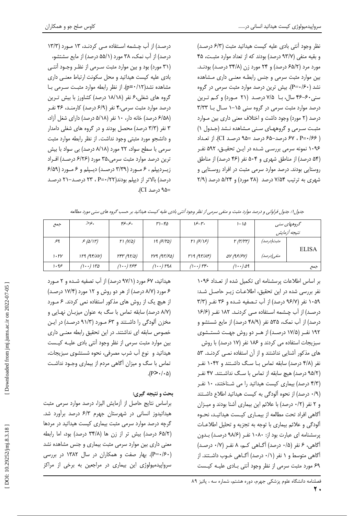نظر وجود آنتی بادی علیه کیست هیداتید مثبت (۶/۳ درصد) و بقیه منفی (۹۳/۷ درصد) بودند که از تعداد موارد مثبت، ۴۵ مورد مرد (۶۵/۲ درصد) و ۲۴ مورد زن (۳۴/۸ درصد) بودنـد. بین موارد مثبت سرمی و جنس رابطـه معنـی داری مـشاهده نشد (۴۰/۶۰–P). بیش ترین درصد موارد مثبت سرمی در گروه سنی ۶۰-۴۶ سال، با ۷/۵ درصد (۲۱ مورد) و کم ترین درصد موارد مثبت سرمی در گروه سنی ۱۵-۱ سال با ۳/۳۳ درصد (٢ مورد) وجود داشت و اختلاف معنى دارى بين موارد مثبت سرمی و گروههای سنی مشاهده نشد (جدول ۱) ( P=٠/۶۶ درصد-۶۵ درصد =۹۵ درصد CI). از تعداد ۱۰۹۶ نمونه سرمی بررسـی شـده در ایـن تحقیـق، ۵۹۲ نفـر (۵۴ درصد) از مناطق شهری و ۵۰۴ نفر (۴۶ درصد) از مناطق روستایی بودند. درصد موارد سرمی مثبت در افراد روستایی و شهری به ترتیب ۷/۵۴ درصد (۳۸ مورد) و ۵/۲۴ درصد (۲/۹

درصـد) از آب چـشمه اسـتفاده مـی کردنـد، ۱۳ مـورد (۱۳/۳ درصد) از آب نمک، ۳۸ مورد (۵۵/۱ درصد) از مایع سشتشو، (۳۱ مورد) بود و بین موارد مثبت سـرمی از نظـر وجـود آنتـی بادی علیه کیست هیداتید و محل سکونت ارتباط معنبی داری مشاهده نشد(p=٠/١٢). از نظر رابطه موارد مثبت سرمى با گروه های شغلی،۶ نفر (۱۸/۱۸ درصد) کشاورز با بیش تـرین درصد موارد مثبت سرمی،۴ نفر (۶/۹ درصد) کارمنـد، ۴۶ نفـر (۶/۵۸ درصد) خانه دار، ۱۰ نفر (۵/۱۸ درصد) دارای شغل آزاد، ۳ نفر (۳/۳ درصد) محصل بودند و در گروه های شغلی دامدار و دانشجو مورد مثبتی وجود نداشت. از نظر رابطه موارد مثبت سرمی با سطح سواد، ٢٢ مورد (٨/١٨ درصد) بی سواد با بیش ترین درصد موارد مثبت سرمی،۳۵ مورد (۶/۲۶ درصد) اف راد زیـردیپلم ، ۶ مـورد (۳/۳۹ درصـد) دیـپلم و ۶ مـورد (۶/۵۹ درصد) بالاتر از دیپلم بودند(۲۲/۰۲=P ، ۲۳ درصد-۲۱ درصد =۹۵ درصد CI).

| جمع         | .۶۶                     | بح-يح                                   | $r_{1-f_0}$           | ۳۰–۱۶                 | $1 - 10$                                  | گروههای سنی  |              |
|-------------|-------------------------|-----------------------------------------|-----------------------|-----------------------|-------------------------------------------|--------------|--------------|
|             |                         |                                         |                       |                       |                                           | تتيجه أزمايش |              |
| ٩عر         | 5(0/11)                 | $\Gamma$ $(N/\Delta)$                   | 19 (5/70)             | (5/15)                | $\Gamma$ ( $\Gamma$ / $\Gamma$ $\Gamma$ ) | مثبت(درصد)   |              |
|             |                         |                                         |                       |                       |                                           |              | <b>ELISA</b> |
| $1.7\gamma$ | 119 (97/1V)             | $\Gamma \Gamma \Gamma (4\Gamma/\Delta)$ | $rrq$ (9 $r/sq$ )     | r19 (97/1)            | $\Delta V$ (9 $5/5V$ )                    | منفي (درصد)  |              |
| ۹۰ ا        | $(1 \cdot \cdot)$ $150$ | $(1 \cdot \cdot)$ ref                   | $(1 \cdot \cdot)$ rax | $(1 \cdot \cdot)$ rr. | $(1 \cdot \cdot)$ $\Delta$ 9              | جمع          |              |

جدول۱: جدول فراوانی و درصد موارد مثبت و منفی سرمی از نظر وجود آنتی بادی علیه کیست هیلاتید بر حسب گروه های سنی مورد مطالعه

بر اساس اطلاعات پرسشنامه ای تکمیل شده از تعداد ۱۰۹۶ نفر بررسی شده در این تحقیق، اطلاعـات زیـر حاصـل شـد: ١٠۵٩ نفر (٩۶/٧ درصد) از آب تـصفيه شـده و ٣۶ نفـر (٣/٣ درصد) از آب چشمه استفاده مـی کردنـد. ۱۸۲ نفـر (۱۶/۶ درصد) از آب نمک، ۵۳۵ نفر (۴۸/۹ درصد) از مایع شستشو و ۱۹۲ نفـر (۱۷/۵ درصـد) از هــر دو روش جهــت شستــشوی سبزیجات استفاده می کردند و ۱۸۶ نفر (۱۷ درصد) با روش های مذکور آشنایی نداشتند و از آن استفاده نمبی کردنـد. ۵۳ نفر (۴/۸ درصد) سابقه تماس با سگ داشتند و ۱۰۴۲ نف (۹۵/۲ درصد) هیچ سابقه از تماس با سگ نداشتند. ۴۷ نف (۴/۳ درصد) بیماری کیست هیداتید را می شناختند، ۱۰ نفر (٠/٩ درصد) از نحوه آلودگی به کیست هیداتید اطلاع داشتند و ۲ نفر (۰/۲ درصد) با علائم این بیماری آشنا بودند و میـزان آگاهی افراد تحت مطالعه از بیمـاری کیـست هیداتیـد، نحـوه ألودگی و علائم بیماری با توجه به تجزیه و تحلیل اطلاعـات یرسشنامه ای عبارت بود از: ۱۰۸۰ نفر (۹۸/۶ درصد) بدون آگاهي، ۶ نفر (۰/۵ درصد) آگـاهي كـم، ۸ نفـر (۰/۷ درصـد) آگاهی متوسط و ۱ نفر (۰/۱ درصد) آگـاهی خـوب داشـتند. از ۶۹ مورد مثبت سرمی از نظر وجود آنتی بـادی علیـه کیـست

هیداتید، ۶۷ مورد (۹۷/۱ درصد) از آب تصفیه شـده و ۲ مـورد ۶ مورد (۸/۷ درصد) از هر دو روش و ۱۲ مورد (۱۷/۴ درصد) از هیچ یک از روش های مذکور استفاده نمی کردند. ۶ مـورد (٨/٧ درصد) سابقه تماس با سگ به عنوان میزبـان نهـایی و مخزن آلودگی را داشتند و ۶۳ مورد (۹۱/۳ درصد) در این خصوص سابقه ای نداشتند. در این تحقیق رابطه معنبی داری بین موارد مثبت سرمی از نظر وجود آنتی بادی علیـه کیـست هیداتید و نوع آب شرب مصرفی، نحوه شستشوی سبزیجات، تماس با سگ و میزان آگاهی مردم از بیماری وجـود نداشـت  $(P > \cdot / \cdot \Delta)$ 

# بحث و نتيجه گيري:

براساس نتايج حاصل از آزمايش اليزا، درصد موارد سرمى مثبت هیداتیدوز انسانی در شهرستان جهرم ۶/۳ درصد برآورد شد. گرچه درصد موارد سرمی مثبت بیماری کیست هیداتید در مردها (۶۵/۲ درصد) بیش تر از زن ها (۳۴/۸ درصد) بود، اما رابطه معنی داری بین موارد سرمی مثبت بیماری و جنس مشاهده نشد (۴۰–P). بهار صفت و همکاران در سال ۱۳۸۲ در بررسی سرواییدمیولوژی این بیماری در مراجعین به برخی از مراکز

٢.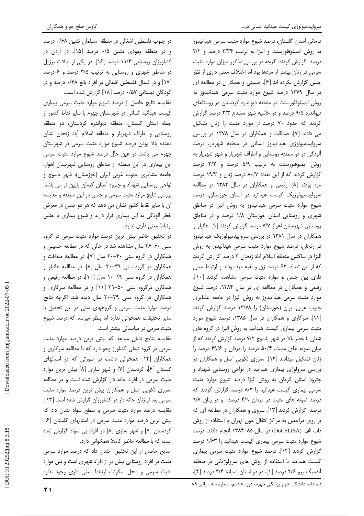درمانی استان گلستان، درصد شیوع موارد مثبت سرمی هیداتیدوز به روش ایمینوفلورسنت و الیزا به ترتیب ۲/۳۴ درصد و ٢/٢ درصد گزارش کردند. گرچه در بررسی مذکور میزان موارد مثبت سرمی در زنان بیشتر از مردها بود اما اختلاف معنی داری از نظر جنس گزارش نکرده اند [۶]. حسینی و همکاران در مطالعه ای در سال ۱۳۷۹ درصد شیوع موارد مثبت سرمی هیداتیدوز به روش ایمینوفلورسنت در منطقه دیواندره کردستان در روستاهای دیواندره ۹/۵ درصد و در حاشیه شهر سنندج ۳/۳ درصد گزارش کردند که حدود ۷۰ درصد از موارد مثبت را زنان تشکیل می دادند [۷]. صداقت و همکاران در سال ۱۳۷۸ در بررسی سرواپیدمیولوژی هیداتیدوز انسانی در منطقه شهریار، درصد آلودگی در دو منطقه روستایی و اطراف شهریار و شهر شهریار به روش ایمنوفلورسنت به ترتیب ۵/۹ درصد و ۳/۲ درصد گزارش کردند که از این تعداد ۸۰/۷ درصد زنان و ۱۹/۳ درصد مرد بودند [۸]. رفیعی و همکاران در سال ۱۳۸۲ در مطالعه سرواپیدمیولوژیک کیست هیداتید در استان خوزستان، درصد شیوع موارد مثبت سرمی هیداتیدوز به روش الیزا در مناطق شهری و روستایی استان خوزستان ۱/۸ درصد و در مناطق روستایی شهرستان اهواز ۷/۷ درصد گزارش کردند [۹]. هانیلو و همکاران در سال ۱۳۸۱ در بررسی سرواپیدمیولوژیک هیداتیدوز در زنجان، درصد شیوع موارد مثبت سرمی هیداتیدوز به روش الیزا در ساکنین منطقه اسلام أباد زنجان ۳ درصد گزارش کردند که از این تعداد، ۶۲ درصد زن و بقیه مرد بودند و ارتباط معنی داری بین جنس و موارد مثبت سرمی مشاهده کردند [١٠]. رفیعی و همکاران در مطالعه ای در سال ۱۳۸۴، درصد شیوع موارد مثبت سرمی هیداتیدوز به روش الیزا در جامعه عشایری جنوب غربی ایران (خوزستان) را ۱۳/۷۸ درصد گزارش کردند [١١]. سركارى و همكاران در سال ١٣٨۵، درصد شيوع موارد مثبت سرمی بیماری کیست هیداتید به روش الیزا در گروه های شغلی با خطر بالا در شهر یاسوج ۷/۲ درصد گزارش کردند که از میان نمونه های مثبت، ۵۰/۴ درصد را مردان و ۴۹/۶ درصد را زنان تشکیل میدادند [۱۲]. معززی نکویی اصل و همکاران در بررسی سرولوژی بیماری هیداتید در نواحی روستایی شهداد و چترود استان کرمان به روش الیزا درصد شیوع موارد مثبت سرمی بیماری کیست هیداتید را ۸/۲ درصد گزارش کردند که درصد نمونه های مثبت در مردان ۴/۹ درصد و در زنان ۹/۷ درصد گزارش کردند [۱۳]. سروی و همکاران در مطالعه ای که بر روی مراجعین به مراکز انتقال خون تهران با استفاده از روش دات اليزا (Dot-ELISA) در سال ۸۵–۱۳۸۴ انجام دادند، درصد شیوع موارد مثبت سرمی بیماری کیست هیداتید را ۱/۶۳ درصد گزارش كردند [١۴]. درصد شيوع موارد مثبت سرمى بيمارى کیست هیداتید با استفاده از روش های سرولوژیکی در منطقه آندمیک پرو ۲/۶ درصد [۱]، در دو استان اسپانیا ۳/۴ درصد [۲]،

در جنوب فلسطین اشغالی در منطقه مسلمان نشین ۰/۶۸ درصد و در منطقه یهودی نشین ۰/۵ درصد [۱۵]، در اردن در کشاورزان روستایی ۱۱/۴ درصد [۱۶]، در یکی از ایالات برزیل در مناطق شهری و روستایی به ترتیب ۳/۵ درصد و ۶ درصد [۱۷] و در شمال فلسطین اشغالی در افراد بالغ ۰/۴۸ درصد و در کودکان دبستانی ۰/۵۷ درصد [۱۸] گزارش شده است.

مقایسه نتایج حاصل از درصد شیوع موارد مثبت سرمی بیماری کیست هیداتید انسانی در شهرستان جهرم با سایر نقاط کشور از جمله استان گلستان، منطقه دیواندره کردستان، دو منطقه روستایی و اطراف شهریار و منطقه اسلام آباد زنجان نشان دهنده بالا بودن درصد شیوع موارد مثبت سرمی در شهرستان جهرم می باشد. در عین حال درصد شیوع موارد مثبت سرمی این بیماری در این منطقه از مناطق روستایی شهرستان اهواز، جامعه عشایری جنوب غربی ایران (خوزستان)، شهر یاسوج و نواحی روستایی شهداد و چترود استان کرمان پایین تر می باشد. بررسی نتایج موارد مثبت سرمی و جنس در این منطقه و مقایسه آن با سایر نقاط کشور نشان می دهد که هر دو جنس در معرض خطر آلودگی به این بیماری قرار دارند و شیوع بیماری با جنس ارتباط معنى دارى ندارد.

در تحقیق حاضر بیش ترین درصد موارد مثبت سرمی در گروه سنی ۶۰-۴۶ سال مشاهده شد در حالی که در مطالعه حسینی و همکاران در گروه سنی ۴۰–۲۰ سال [۷]، در مطالعه صداقت و همکاران در گروه سنی ۳۹-۲۰ سال [۸]، در مطالعه هانیلو و همکاران در گروه سنی ۱۹–۱۰ سال [۱۰]، در مطالعه رفیعی و همکارن درگروه سنی ۵۰–۳۱ [۱۱] و در مطالعه سرکاری و همکاران در گروه سنی ۳۹-۳۰ سال دیده شد. اگرچه نتایج درصد موارد مثبت سرمی و گروههای سنی در این تحقیق با سایر تحقیقات همخوانی ندارد اما بنظر میرسد که درصد شیوع مثبت سرمی در میانسالی بیشتر است.

مقایسه نتایج نشان میدهد که بیش ترین درصد موارد مثبت سرمی در گروه شغلی کشاورز وجو دارد که با مطالعه سرکاری و همکاران [۱۲] همخوانی داشت در صورتی که در استانهای گلستان [۶]، كردستان [۷] و شهر سارى [۸] بيش ترين موارد مثبت سرمی در افراد خانه دار گزارش شده است و در مطالعه معززی نکویی اصل و همکاران بیش ترین درصد موارد مثبت سرمی بعد از زنان خانه دار در کشاورزان گزارش شده است [۱۳]. مقایسه درصد موارد مثبت سرمی با سطح سواد نشان داد که بیش ترین درصد موارد مثبت سرمی در استانهای گلستان [۶]، کردستان [۷] و شهر ساری [۸] در افراد بی سواد گزارش شده است كه با مطالعه حاضر كاملا همخوانى دارد.

نتايج حاصل از اين تحقيق نشان داد كه درصد موارد سرمى مثبت در افراد روستایی بیش تر از افراد شهری است و بین موارد مثبت سرمى و محل سكونت ارتباط معنى دارى وجود ندارد

فصلنامه دانشگاه علوم پزشکی جهرم، دوره هشتم، شماره سه ، پائیز ۸۹

 $\bf{y}$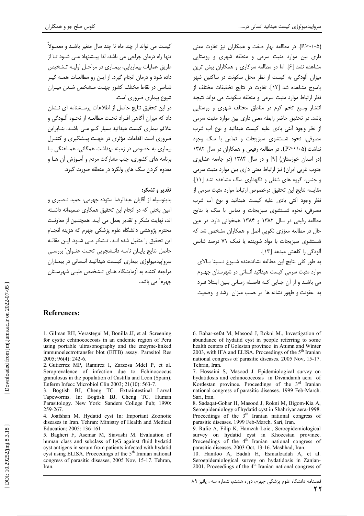(P>٠/٠۵). در مطالعه بهار صفت و همکاران نیز تفاوت معنی داری بین موارد مثبت سرمی و منطقه شهری و روستایی مشاهده نشد [۶]. اما در مطالعه سرکاری و همکاران بیش ترین میزان آلودگی به کیست از نظر محل سکونت در ساکنین شهر ياسوج مشاهده شد [١٢]. تفاوت در نتايج تخقيقات مختلف از نظر ارتباط موارد مثبت سرمى و منطقه سكونت مى تواند نتيجه انتشار وسیع تخم کرم در مناطق مختلف شهری و روستایی باشد. در تحقیق حاضر رابطه معنی داری بین موارد مثبت سرمی از نظر وجود آنتی بادی علیه کیست هیداتید و نوع آب شرب مصرفی، نحوه شستشوی سبزیجات و تماس با سگ وجود  $NAT$  نداشت (۲۰۵ × (P>۰/۰۵). در مطالعه رفیعی و همکاران در سال ۱۳۸۲ (در استان خوزستان) [۹] و در سال ۱۳۸۴ (در جامعه عشایری جنوب غربی ایران) نیز ارتباط معنی داری بین موارد مثبت سرمی و جنس، گروه های شغلی و نگهداری سگ مشاهده نشد [۱۱]. مقايسه نتايج اين تحقيق درخصوص ارتباط موارد مثبت سرمى از .<br>نظر وجود اَنت*ی* بادی علیه کیست هیداتید و نوع اَب شرب مصرفی، نحوه شستشوی سبزیجات و تماس با سگ با نتایج مطالعه رفیعی در سال ۱۳۸۲ و ۱۳۸۴ همخوانی دارد. در عین حال در مطالعه معززی نکویی اصل و همکاران مشخص شد که شستشوی سبزیجات با مواد شوینده یا نمک ۷۱ درصد شانس آلودگی را کاهش میدهد [۱۳].

به طور كلي نتايج اين مطالعه نشاندهنده شـيوع نـسبتا بـالاي موارد مثبت سرمی کیست هیداتید انسانی در شهرستان جهرم می باشـد و از آن جـایی کـه فاصـله زمـانی بـین ابـتلا فـرد به عفونت و ظهور نشانه ها بر حسب میزان رشد و وضعیت

6. Bahar-sefat M, Masood J, Rokni M., Investigation of abundance of hydatid cyst in people referring to some

health centers of Golestan province in Atumn and Winter

2003, with IFA and ELISA. Proceedings of the 5<sup>th</sup> Iranian national congress of parasitic diseases. 2005 Nov, 15-17.

7. Hossaini S, Masood J. Epidemiological survey on hydatidosis and echinococcosis in Divandarah aera of

Kordestan province. Proceedings of the 3rd Iranian

national congress of parasitic diseases. 1999 Feb-March.

8. Sadaqat-Gohar H, Masood J, Rokni M, Bigom-Kia A,

Seroepidemiology of hydatid cyst in Shahriyar aera-1998.

Proceedings of the  $3<sup>th</sup>$  Iranian national congress of

9. Rafie A, Filip K, Hamzah-Loie., Seroepidemiological

survey on hydatid cyst in Khozestan province. Proceedings of the  $4<sup>th</sup>$  Iranian national congress of

10. Haniloo A, Badali H, Esmailzadah A, et al. Seroepidemiological survey on hydatidosis in Zanjan-<br>2001. Proceedings of the 4<sup>th</sup> Iranian national congress of

parasitic diseases. 2003 Oct. 13-16. Mashhad, Iran.

parasitic diseases. 1999 Feb-March. Sari, Iran.

Tehran, Iran.

Sari. Iran.

کیست می تواند از چند ماه تا چند سال متغیر باشـد و معمـولاً تنها راه درمان جراحی می باشد، لذا پیـشنهاد مـی شـود تـا از طریق عملیات بیماریایی، بیمباری در مراحیل اولیـه تـشخیص داده شود و درمان انجام گیرد. از ایـن رو مطالعـات همـه گیـر شناسی در نقاط مختلف کشور جهـت مـشخص شـدن میـزان شیوع بیماری ضروری است.

کاوس صلح جو و همکاران

در این تحقیق نتایج حاصل از اطلاعات پرسـشنامه ای نـشان داد که میزان آگاهی افـراد تحـت مطالعـه از نحـوه آلـودگی و علائم بیماری کیست هیداتید بسیار کـم مـی باشـد. بنـابراین .<br>ضروری است اقدامات مؤثری در جهـت پیـشگیری و کنتـرل بیماری به خصوص در زمینه بهداشت همگانی، همـاهنگی بـا برنامه های کشوری، جلب مشارکت مردم و آمـوزش آن هـا و معدوم کردن سگ های ولگرد در منطقه صورت گیرد.

# تقدير و تشكر:

بدینوسیله از آقایان عبدالرضا ستوده جهرمی، حمید نـصیری و امین بختی که در انجام این تحقیق همکاری صمیمانه داشته اند، نهایت تشکر و تقدیر بعمل می آیـد. همچنـین از معاونـت محترم يژوهشي دانشگاه علوم يزشكي جهرم كه هزينه انجـام این تحقیق را متقبل شده انـد، تـشکر مـی شـود. ایـن مقالـه حاصل نتايج پايـان نامـه دانـشجويي تحـت عنـوان" بررسـي سرواییدمیولوژی بیماری کیـست هیداتیـد انـسانی در بیمـاران مراجعه کننده به آزمایشگاه هـای تـشخیص طبـی شهرسـتان جھرم ؓ مے ٖ باشد۔

# **References:**

1. Gilman RH, Verastegui M, Bonilla JJ, et al. Screening for cystic echinococcosis in an endemic region of Peru using portable ultrasonography and the enzyme-linked immunoelectrotransfer blot (EITB) assay. Parasitol Res 2005; 96(4): 242-6.

2. Gutierrez MP, Ramirez I, Zarzosa Mdel P, et al. Seroprevalence of infection due to Echinococcus granulosus in the population of Castilla and Leon (Spain). Enferm Infecc Microbiol Clin 2003; 21(10): 563-7.

3. Bogtish BJ, Cheng TC. Extraintestinal Larval Tapeworms. In: Bogtish BJ, Cheng TC. Human Parasitology. New York: Sanders College Pub; 1990: 259-267.

4. Joafshan M. Hydatid cyst In: Important Zoonotic diseases in Iran. Tehran: Ministry of Health and Medical Education; 2005: 136-161

5. Bagheri F, Asemar M, Siavashi M. Evaluation of human class and subclass of IgG against fluid hydatid cyst antigens in serum from patients infected with hydatid cyst using ELISA. Proceedings of the 5<sup>th</sup> Iranian national congress of parasitic diseases, 2005 Nov, 15-17. Tehran, Iran.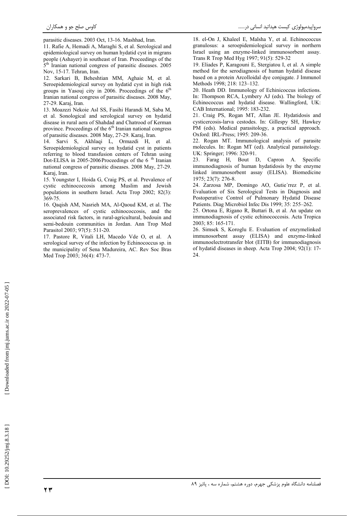parasitic diseases. 2003 Oct, 13-16. Mashhad, Iran.

11. Rafie A, Hemadi A, Maraghi S, et al. Serological and epidemiological survey on human hydatid cyst in migrans people (Ashayer) in southeast of Iran. Proceedings of the 5<sup>th</sup> Iranian national congress of parasitic diseases. 2005 Nov. 15-17. Tehran, Iran.

12. Sarkari B, Beheshtian MM, Aghaie M, et al. Seroepidemiological survey on hydatid cyst in high risk groups in Yasouj city in 2006. Proceedings of the  $6<sup>th</sup>$ Iranian national congress of parasitic diseases. 2008 May, 27-29. Karaj, Iran.

13. Moazezi Nekoie Asl SS, Fasihi Harandi M, Saba M, et al. Sonological and serological survey on hydatid disease in rural aera of Shahdad and Chatrood of Kerman province. Proceedings of the 6<sup>th</sup> Iranian national congress of parasitic diseases. 2008 May, 27-29. Karaj, Iran.

14. Sarvi S, Akhlaqi L, Ormazdi H, et al. Seroepidemiological survey on hydatid cyst in patients referring to blood transfusion centers of Tehran using Dot-ELISA in 2005-2006Proceedings of the 6<sup>th</sup> Iranian national congress of parasitic diseases. 2008 May, 27-29. Karaj, Iran.

15. Youngster I, Hoida G, Craig PS, et al. Prevalence of cystic echinococcosis among Muslim and Jewish populations in southern Israel. Acta Trop 2002: 82(3): 369-75

16. Qaqish AM, Nasrieh MA, Al-Qaoud KM, et al. The seroprevalences of cystic echinococcosis, and the associated risk factors, in rural-agricultural, bedouin and semi-bedouin communities in Jordan. Ann Trop Med Parasitol 2003; 97(5): 511-20.

17. Pastore R, Vitali LH, Macedo Vde O, et al. A serological survey of the infection by Echinococcus sp. in the municipality of Sena Madureira, AC. Rev Soc Bras Med Trop 2003; 36(4): 473-7.

18. el-On J, Khaleel E, Malsha Y, et al. Echinococcus granulosus: a seroepidemiological survey in northern Israel using an enzyme-linked immunosorbent assay. Trans R Trop Med Hyg 1997; 91(5): 529-32

19. Eliades P, Karagouni E, Stergiatou I, et al. A simple method for the serodiagnosis of human hydatid disease based on a protein Arcolloidal dye conjugate. J Immunol Methods 1998; 218: 123-132.

20. Heath DD. Immunology of Echinicoccus infections. In: Thompson RCA, Lymbery AJ (eds). The biology of Echinococcus and hydatid disease. Wallingford, UK: CAB International; 1995: 183-232.

21. Craig PS, Rogan MT, Allan JE. Hydatidosis and cysticercosis-larva cestodes. In: Gillespy SH, Hawkey PM (eds). Medical parasitology, a practical approach. Oxford: IRL-Press; 1995: 209-36.

22. Rogan MT. Immunological analysis of parasite molecules. In: Rogan MT (ed). Analytical parasitology. UK: Springer; 1996: 320-91.

 $23 -$ Farag H, Bout D, Capron A. Specific immunodiagnosis of human hydatidosis by the enzyme linked immunosorbent assay (ELISA). Biomedicine 1975; 23(7): 276-8.

24. Zarzosa MP, Domingo AO, Gutie'rrez P, et al. Evaluation of Six Serological Tests in Diagnosis and Postoperative Control of Pulmonary Hydatid Disease Patients. Diag Microbiol Infec Dis 1999; 35: 255-262.

25. Ortona E, Rigano R, Buttari B, et al. An update on immunodiagnosis of cystic echinococcosis. Acta Tropica 2003; 85: 165-171.

26. Simsek S, Koroglu E. Evaluation of enzymelinked immunosorbent assay (ELISA) and enzyme-linked immunoelectrotransfer blot (EITB) for immunodiagnosis of hydatid diseases in sheep. Acta Trop 2004; 92(1): 17- $24$